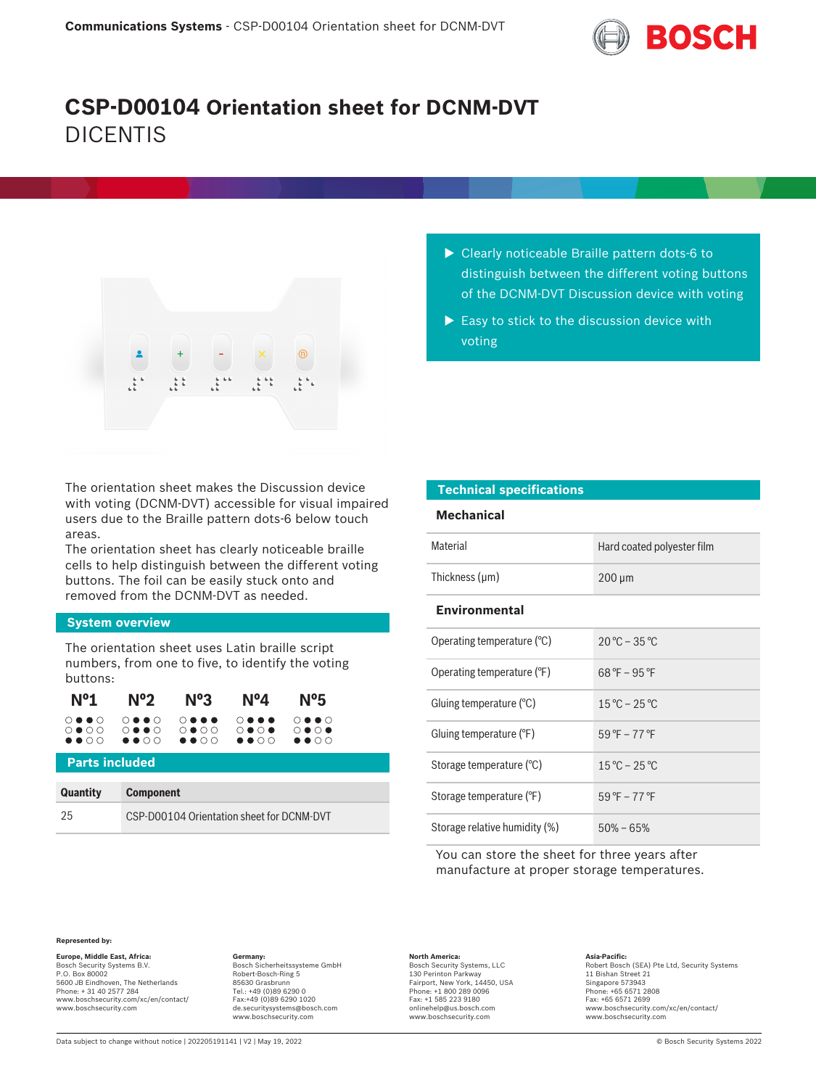

# **CSP-D00104 Orientation sheet for DCNM-DVT** DICENTIS



The orientation sheet makes the Discussion device with voting (DCNM-DVT) accessible for visual impaired users due to the Braille pattern dots-6 below touch areas.

The orientation sheet has clearly noticeable braille cells to help distinguish between the different voting buttons. The foil can be easily stuck onto and removed from the DCNM-DVT as needed.

## **System overview**

The orientation sheet uses Latin braille script numbers, from one to five, to identify the voting buttons:

|  | $N^o1$ $N^o2$ $N^o3$ $N^o4$ $N^o5$                                             |  |
|--|--------------------------------------------------------------------------------|--|
|  | 0000 0000 0000 0000 0000<br>OOOO OOOO OOOO OOOO OOOO<br><b></b> oo oo oo oo oo |  |

# **Parts included**

| <b>Quantity</b> | <b>Component</b>                          |
|-----------------|-------------------------------------------|
| 25              | CSP-D00104 Orientation sheet for DCNM-DVT |

- $\triangleright$  Clearly noticeable Braille pattern dots-6 to distinguish between the different voting buttons of the DCNM-DVT Discussion device with voting
- $\blacktriangleright$  Easy to stick to the discussion device with voting

| <b>Technical specifications</b> |                                  |  |  |  |
|---------------------------------|----------------------------------|--|--|--|
| <b>Mechanical</b>               |                                  |  |  |  |
| Material                        | Hard coated polyester film       |  |  |  |
| Thickness (µm)                  | $200 \mu m$                      |  |  |  |
| <b>Environmental</b>            |                                  |  |  |  |
| Operating temperature (°C)      | $20 °C - 35 °C$                  |  |  |  |
| Operating temperature (°F)      | $68^{\circ}F - 95^{\circ}F$      |  |  |  |
| Gluing temperature (°C)         | $15^{\circ}$ C – 25 °C           |  |  |  |
| Gluing temperature (°F)         | $59^{\circ}$ F – 77 $^{\circ}$ F |  |  |  |
| Storage temperature (°C)        | $15^{\circ}$ C – 25 $^{\circ}$ C |  |  |  |
| Storage temperature (°F)        | $59^{\circ}$ F – 77 $^{\circ}$ F |  |  |  |
| Storage relative humidity (%)   | $50\% - 65\%$                    |  |  |  |

You can store the sheet for three years after manufacture at proper storage temperatures.

## **Represented by:**

**Europe, Middle East, Africa: Germany: North America: Asia-Pacific:** Bosch Sicherheitssysteme GmbH Bosch Security Systems B.V. P.O. Box 80002 5600 JB Eindhoven, The Netherlands Phone: + 31 40 2577 284 www.boschsecurity.com/xc/en/contact/ www.boschsecurity.com

Robert-Bosch-Ring 5 85630 Grasbrunn Tel.: +49 (0)89 6290 0 Fax:+49 (0)89 6290 1020 de.securitysystems@bosch.com www.boschsecurity.com

Bosch Security Systems, LLC 130 Perinton Parkway Fairport, New York, 14450, USA Phone: +1 800 289 0096 Fax: +1 585 223 9180 onlinehelp@us.bosch.com www.boschsecurity.com

Asia-Pacific:<br>Robert Bosch (SEA) Pte Ltd, Security Systems 11 Bishan Street 21 Singapore 573943 Phone: +65 6571 2808 Fax: +65 6571 2699 www.boschsecurity.com/xc/en/contact/ www.boschsecurity.com